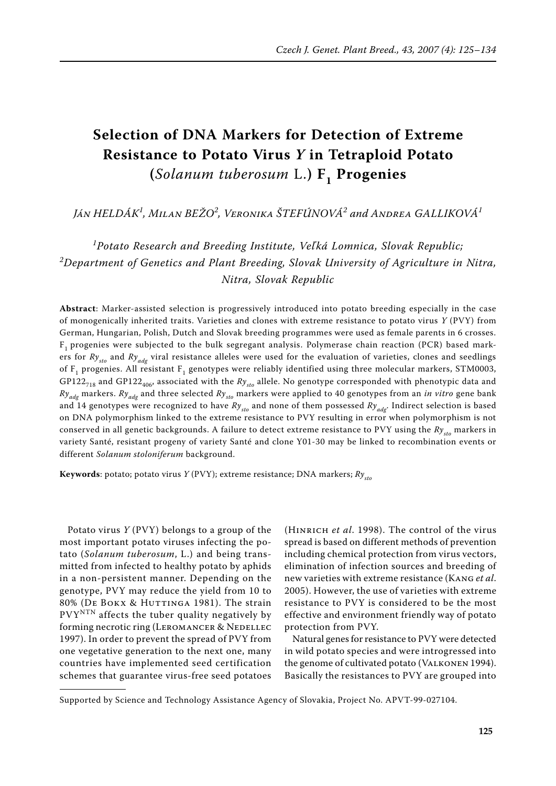# **Selection of DNA Markers for Detection of Extreme Resistance to Potato Virus** *Y* **in Tetraploid Potato (***Solanum tuberosum* L.**) F1 Progenies**

*Ján Heldák<sup>1</sup> , Milan Bežo<sup>2</sup> , Veronika Štefúnová<sup>2</sup> and Andrea Galliková<sup>1</sup>*

<sup>1</sup> Potato Research and Breeding Institute, Veľká Lomnica, Slovak Republic; *2 Department of Genetics and Plant Breeding, Slovak University of Agriculture in Nitra, Nitra, Slovak Republic*

**Abstract**: Marker-assisted selection is progressively introduced into potato breeding especially in the case of monogenically inherited traits. Varieties and clones with extreme resistance to potato virus *Y* (PVY) from German, Hungarian, Polish, Dutch and Slovak breeding programmes were used as female parents in 6 crosses.  $F_1$  progenies were subjected to the bulk segregant analysis. Polymerase chain reaction (PCR) based markers for *Ry<sub>sto</sub>* and *Ry<sub>adg</sub>* viral resistance alleles were used for the evaluation of varieties, clones and seedlings of  $F_1$  progenies. All resistant  $F_1$  genotypes were reliably identified using three molecular markers, STM0003, GP122<sub>718</sub> and GP122<sub>406</sub>, associated with the  $Ry_{sto}$  allele. No genotype corresponded with phenotypic data and *Ryadg* markers. *Ryadg* and three selected *Rysto* markers were applied to 40 genotypes from an *in vitro* gene bank and 14 genotypes were recognized to have  $Ry_{sto}$  and none of them possessed  $Ry_{adv}$ . Indirect selection is based on DNA polymorphism linked to the extreme resistance to PVY resulting in error when polymorphism is not conserved in all genetic backgrounds. A failure to detect extreme resistance to PVY using the  $Ry_{\mu}$  markers in variety Santé, resistant progeny of variety Santé and clone Y01-30 may be linked to recombination events or different *Solanum stoloniferum* background.

**Keywords**: potato; potato virus *Y* (PVY); extreme resistance; DNA markers;  $Ry_{\text{sto}}$ 

Potato virus *Y* (PVY) belongs to a group of the most important potato viruses infecting the potato (*Solanum tuberosum*, L.) and being transmitted from infected to healthy potato by aphids in a non-persistent manner. Depending on the genotype, PVY may reduce the yield from 10 to 80% (DE BOKX & HUTTINGA 1981). The strain  $PVY<sup>NTN</sup>$  affects the tuber quality negatively by forming necrotic ring (LEROMANCER & NEDELLEC 1997). In order to prevent the spread of PVY from one vegetative generation to the next one, many countries have implemented seed certification schemes that guarantee virus-free seed potatoes

(Hinrich *et al*. 1998). The control of the virus spread is based on different methods of prevention including chemical protection from virus vectors, elimination of infection sources and breeding of new varieties with extreme resistance (Kang *et al*. 2005). However, the use of varieties with extreme resistance to PVY is considered to be the most effective and environment friendly way of potato protection from PVY.

Natural genes for resistance to PVY were detected in wild potato species and were introgressed into the genome of cultivated potato (Valkonen 1994). Basically the resistances to PVY are grouped into

Supported by Science and Technology Assistance Agency of Slovakia, Project No. APVT-99-027104.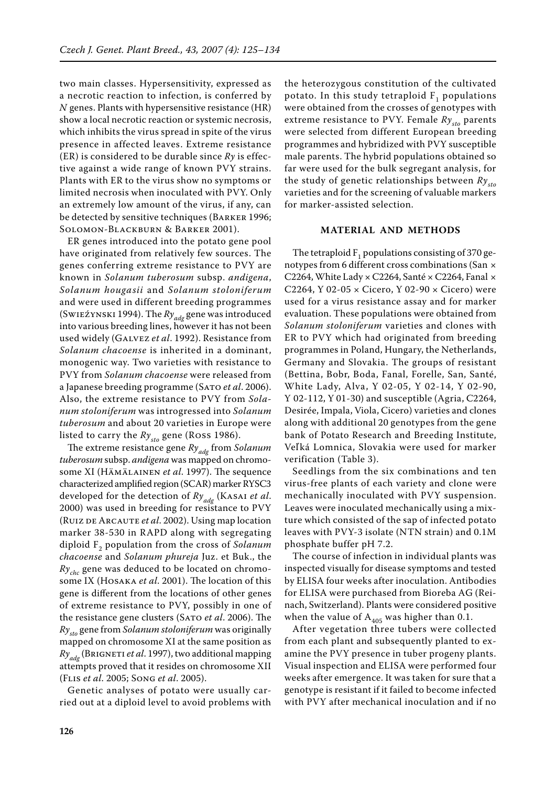two main classes. Hypersensitivity, expressed as a necrotic reaction to infection, is conferred by *N* genes. Plants with hypersensitive resistance (HR) show a local necrotic reaction or systemic necrosis, which inhibits the virus spread in spite of the virus presence in affected leaves. Extreme resistance (ER) is considered to be durable since *Ry* is effective against a wide range of known PVY strains. Plants with ER to the virus show no symptoms or limited necrosis when inoculated with PVY. Only an extremely low amount of the virus, if any, can be detected by sensitive techniques (Barker 1996; Solomon-Blackburn & Barker 2001).

ER genes introduced into the potato gene pool have originated from relatively few sources. The genes conferring extreme resistance to PVY are known in *Solanum tuberosum* subsp. *andigena*, *Solanum hougasii* and *Solanum stoloniferum* and were used in different breeding programmes (Swieźynski 1994). The *Ry<sub>adg</sub>* gene was introduced into various breeding lines, however it has not been used widely (Galvez *et al*. 1992). Resistance from *Solanum chacoense* is inherited in a dominant, monogenic way. Two varieties with resistance to PVY from *Solanum chacoense* were released from a Japanese breeding programme (Sato *et al*. 2006). Also, the extreme resistance to PVY from *Solanum stoloniferum* was introgressed into *Solanum tuberosum* and about 20 varieties in Europe were listed to carry the  $Ry_{sto}$  gene (Ross 1986).

The extreme resistance gene *Ryadg* from *Solanum tuberosum* subsp. *andigena* was mapped on chromosome XI (Hämälainen *et al*. 1997). The sequence characterized amplified region (SCAR) marker RYSC3 developed for the detection of *Ryadg* (Kasai *et al*. 2000) was used in breeding for resistance to PVY (Ruiz de Arcaute *et al*. 2002). Using map location marker 38-530 in RAPD along with segregating diploid F2 population from the cross of *Solanum chacoense* and *Solanum phureja* Juz. et Buk., the *Rychc* gene was deduced to be located on chromosome IX (Hosaka *et al*. 2001). The location of this gene is different from the locations of other genes of extreme resistance to PVY, possibly in one of the resistance gene clusters (SATO *et al.* 2006). The *Rysto* gene from *Solanum stoloniferum* was originally mapped on chromosome XI at the same position as *Ryadg* (Brigneti *et al*. 1997), two additional mapping attempts proved that it resides on chromosome XII (Flis *et al*. 2005; Song *et al*. 2005).

Genetic analyses of potato were usually carried out at a diploid level to avoid problems with

the heterozygous constitution of the cultivated potato. In this study tetraploid  $F_1$  populations were obtained from the crosses of genotypes with extreme resistance to PVY. Female  $Ry_{sto}$  parents were selected from different European breeding programmes and hybridized with PVY susceptible male parents. The hybrid populations obtained so far were used for the bulk segregant analysis, for the study of genetic relationships between *Rysto* varieties and for the screening of valuable markers for marker-assisted selection.

## **Material and methods**

The tetraploid  $F_1$  populations consisting of 370 genotypes from 6 different cross combinations (San × C2264, White Lady  $\times$  C2264, Santé  $\times$  C2264, Fanal  $\times$ C2264, Y 02-05 × Cicero, Y 02-90 × Cicero) were used for a virus resistance assay and for marker evaluation. These populations were obtained from *Solanum stoloniferum* varieties and clones with ER to PVY which had originated from breeding programmes in Poland, Hungary, the Netherlands, Germany and Slovakia. The groups of resistant (Bettina, Bobr, Boda, Fanal, Forelle, San, Santé, White Lady, Alva, Y 02-05, Y 02-14, Y 02-90, Y 02-112, Y 01-30) and susceptible (Agria, C2264, Desirée, Impala, Viola, Cicero) varieties and clones along with additional 20 genotypes from the gene bank of Potato Research and Breeding Institute, Veľ ká Lomnica, Slovakia were used for marker verification (Table 3).

Seedlings from the six combinations and ten virus-free plants of each variety and clone were mechanically inoculated with PVY suspension. Leaves were inoculated mechanically using a mixture which consisted of the sap of infected potato leaves with PVY-3 isolate (NTN strain) and 0.1M phosphate buffer pH 7.2.

The course of infection in individual plants was inspected visually for disease symptoms and tested by ELISA four weeks after inoculation. Antibodies for ELISA were purchased from Bioreba AG (Reinach, Switzerland). Plants were considered positive when the value of  $A_{405}$  was higher than 0.1.

After vegetation three tubers were collected from each plant and subsequently planted to examine the PVY presence in tuber progeny plants. Visual inspection and ELISA were performed four weeks after emergence. It was taken for sure that a genotype is resistant if it failed to become infected with PVY after mechanical inoculation and if no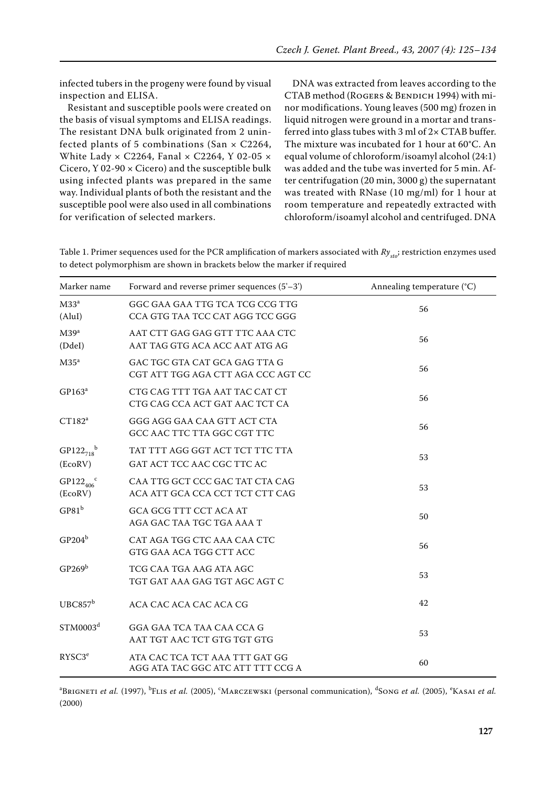infected tubers in the progeny were found by visual inspection and ELISA.

Resistant and susceptible pools were created on the basis of visual symptoms and ELISA readings. The resistant DNA bulk originated from 2 uninfected plants of 5 combinations (San  $\times$  C2264, White Lady  $\times$  C2264, Fanal  $\times$  C2264, Y 02-05  $\times$ Cicero,  $Y$  02-90  $\times$  Cicero) and the susceptible bulk using infected plants was prepared in the same way. Individual plants of both the resistant and the susceptible pool were also used in all combinations for verification of selected markers.

DNA was extracted from leaves according to the CTAB method (ROGERS & BENDICH 1994) with minor modifications. Young leaves (500 mg) frozen in liquid nitrogen were ground in a mortar and transferred into glass tubes with 3 ml of  $2 \times CTAB$  buffer. The mixture was incubated for 1 hour at 60°C. An equal volume of chloroform/isoamyl alcohol (24:1) was added and the tube was inverted for 5 min. After centrifugation (20 min, 3000 g) the supernatant was treated with RNase (10 mg/ml) for 1 hour at room temperature and repeatedly extracted with chloroform/isoamyl alcohol and centrifuged. DNA

Table 1. Primer sequences used for the PCR amplification of markers associated with  $Ry_{sto}$ ; restriction enzymes used to detect polymorphism are shown in brackets below the marker if required

| Marker name                      | Forward and reverse primer sequences $(5'-3')$                      | Annealing temperature (°C) |  |
|----------------------------------|---------------------------------------------------------------------|----------------------------|--|
| M33 <sup>a</sup><br>(Alul)       | GGC GAA GAA TTG TCA TCG CCG TTG<br>CCA GTG TAA TCC CAT AGG TCC GGG  | 56                         |  |
| M39 <sup>a</sup><br>(DdeI)       | AAT CTT GAG GAG GTT TTC AAA CTC<br>AAT TAG GTG ACA ACC AAT ATG AG   | 56                         |  |
| $M35^a$                          | GAC TGC GTA CAT GCA GAG TTA G<br>CGT ATT TGG AGA CTT AGA CCC AGT CC | 56                         |  |
| $GP163^a$                        | CTG CAG TTT TGA AAT TAC CAT CT<br>CTG CAG CCA ACT GAT AAC TCT CA    | 56                         |  |
| $CT182^a$                        | GGG AGG GAA CAA GTT ACT CTA<br>GCC AAC TTC TTA GGC CGT TTC          | 56                         |  |
| $GP122_{718}^{b}$<br>(EcoRV)     | TAT TTT AGG GGT ACT TCT TTC TTA<br>GAT ACT TCC AAC CGC TTC AC       | 53                         |  |
| $GP122_{406}^{\circ}$<br>(EcoRV) | CAA TTG GCT CCC GAC TAT CTA CAG<br>ACA ATT GCA CCA CCT TCT CTT CAG  | 53                         |  |
| GP81 <sup>b</sup>                | GCA GCG TTT CCT ACA AT<br>AGA GAC TAA TGC TGA AAA T                 | 50                         |  |
| $GP204^b$                        | CAT AGA TGG CTC AAA CAA CTC<br>GTG GAA ACA TGG CTT ACC              | 56                         |  |
| $GP269^b$                        | TCG CAA TGA AAG ATA AGC<br>TGT GAT AAA GAG TGT AGC AGT C            | 53                         |  |
| UBC857 <sup>b</sup>              | ACA CAC ACA CAC ACA CG                                              | 42                         |  |
| STM0003 <sup>d</sup>             | GGA GAA TCA TAA CAA CCA G<br>AAT TGT AAC TCT GTG TGT GTG            | 53                         |  |
| RYSC3 <sup>e</sup>               | ATA CAC TCA TCT AAA TTT GAT GG<br>AGG ATA TAC GGC ATC ATT TTT CCG A | 60                         |  |

<sup>a</sup>Brigneti *et al.* (1997), <sup>b</sup>Elis *et al.* (2005), 'Marczewski (personal communication), <sup>d</sup>Song *et al.* (2005), 'Kasai *et al.* (2000)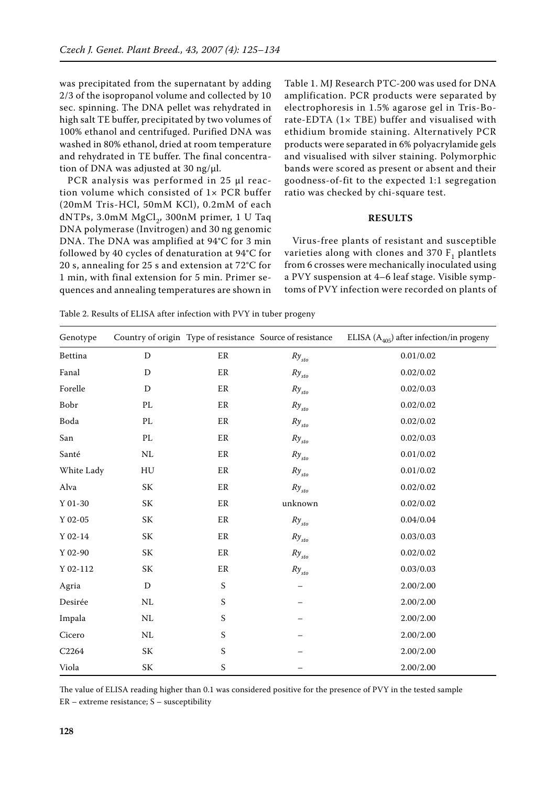was precipitated from the supernatant by adding 2/3 of the isopropanol volume and collected by 10 sec. spinning. The DNA pellet was rehydrated in high salt TE buffer, precipitated by two volumes of 100% ethanol and centrifuged. Purified DNA was washed in 80% ethanol, dried at room temperature and rehydrated in TE buffer. The final concentration of DNA was adjusted at 30 ng/μl.

PCR analysis was performed in 25 μl reaction volume which consisted of 1× PCR buffer (20mM Tris-HCl, 50mM KCl), 0.2mM of each dNTPs,  $3.0$ mM MgCl<sub>2</sub>,  $300$ nM primer, 1 U Taq DNA polymerase (Invitrogen) and 30 ng genomic DNA. The DNA was amplified at 94°C for 3 min followed by 40 cycles of denaturation at 94°C for 20 s, annealing for 25 s and extension at 72°C for 1 min, with final extension for 5 min. Primer sequences and annealing temperatures are shown in

Table 1. MJ Research PTC-200 was used for DNA amplification. PCR products were separated by electrophoresis in 1.5% agarose gel in Tris-Borate-EDTA  $(1 \times$  TBE) buffer and visualised with ethidium bromide staining. Alternatively PCR products were separated in 6% polyacrylamide gels and visualised with silver staining. Polymorphic bands were scored as present or absent and their goodness-of-fit to the expected 1:1 segregation ratio was checked by chi-square test.

### **Results**

Virus-free plants of resistant and susceptible varieties along with clones and  $370 F<sub>1</sub>$  plantlets from 6 crosses were mechanically inoculated using a PVY suspension at 4–6 leaf stage. Visible symptoms of PVY infection were recorded on plants of

| Genotype         |                                                  |                           | Country of origin Type of resistance Source of resistance | ELISA ( $A_{405}$ ) after infection/in progeny |
|------------------|--------------------------------------------------|---------------------------|-----------------------------------------------------------|------------------------------------------------|
| Bettina          | ${\rm D}$                                        | ER                        | $Ry_{sto}$                                                | 0.01/0.02                                      |
| Fanal            | D                                                | ER                        | $Ry_{sto}$                                                | 0.02/0.02                                      |
| Forelle          | D                                                | ER                        | $R y_{\rm \scriptscriptstyle S}$                          | 0.02/0.03                                      |
| Bobr             | PL                                               | $\rm ER$                  | $R\ensuremath{y_{\mathit{sto}}}$                          | 0.02/0.02                                      |
| Boda             | PL                                               | ER                        | $Ry_{sto}$                                                | 0.02/0.02                                      |
| San              | PL                                               | ER                        | $R\ensuremath{y_{\mathit{sto}}}$                          | 0.02/0.03                                      |
| Santé            | $\rm NL$                                         | ER                        | $R y_{\rm \scriptscriptstyle S}$                          | 0.01/0.02                                      |
| White Lady       | HU                                               | ER                        | $Ry_{sto}$                                                | 0.01/0.02                                      |
| Alva             | SK                                               | ER                        | $Ry_{sto}$                                                | 0.02/0.02                                      |
| $\Upsilon$ 01-30 | SK                                               | ER                        | unknown                                                   | 0.02/0.02                                      |
| $\Upsilon$ 02-05 | $\ensuremath{\mathbf{SK}}\xspace$                | ER                        | $R\ensuremath{y_{\mathit{sto}}}$                          | 0.04/0.04                                      |
| $Y$ 02-14        | <b>SK</b>                                        | ER                        | $R y_{\scriptscriptstyle sto}$                            | 0.03/0.03                                      |
| $Y$ 02-90        | $\ensuremath{\mathbf{SK}}\xspace$                | $\rm ER$                  | $R y_{\scriptscriptstyle sto}$                            | 0.02/0.02                                      |
| $Y$ 02-112       | SK                                               | $\rm ER$                  | $Ry_{sto}$                                                | 0.03/0.03                                      |
| Agria            | D                                                | $\boldsymbol{\mathsf{S}}$ |                                                           | 2.00/2.00                                      |
| Desirée          | $\rm NL$                                         | $\boldsymbol{\mathsf{S}}$ |                                                           | 2.00/2.00                                      |
| Impala           | $\rm NL$                                         | S                         |                                                           | 2.00/2.00                                      |
| Cicero           | $\rm NL$                                         | $\mathbf S$               |                                                           | 2.00/2.00                                      |
| C2264            | $\ensuremath{\mathbf{SK}}\xspace$                | $\boldsymbol{\mathsf{S}}$ |                                                           | 2.00/2.00                                      |
| Viola            | $\ensuremath{\mathbf{S}}\ensuremath{\mathbf{K}}$ | $\boldsymbol{\mathsf{S}}$ |                                                           | 2.00/2.00                                      |

Table 2. Results of ELISA after infection with PVY in tuber progeny

The value of ELISA reading higher than 0.1 was considered positive for the presence of PVY in the tested sample ER – extreme resistance; S – susceptibility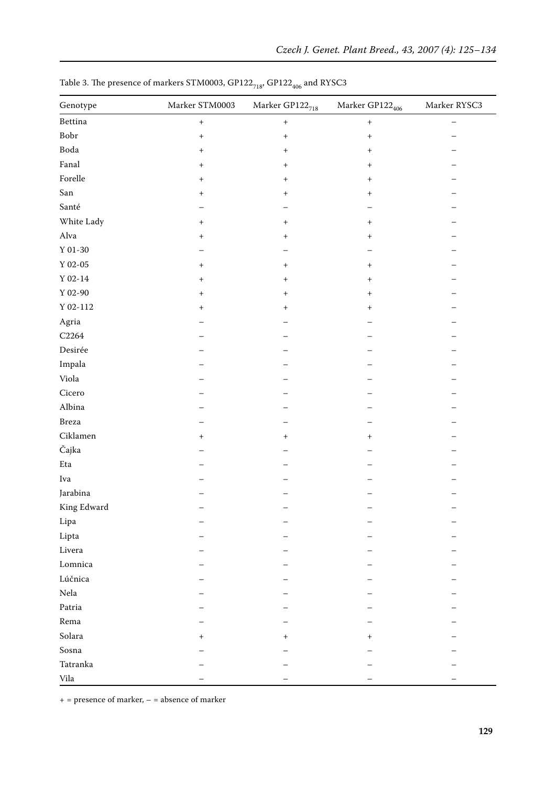| Genotype          | Marker ${\rm STM0003}$ | Marker $\mathrm{GPI22}_{718}$    | Marker $\mathrm{GPI22}_{406}$ | Marker RYSC3 |
|-------------------|------------------------|----------------------------------|-------------------------------|--------------|
| Bettina           | $\! + \!$              | $\boldsymbol{+}$                 | $\, +$                        |              |
| Bobr              | $^{+}$                 | $^{+}$                           | $^{+}$                        |              |
| Boda              | $^{+}$                 | $^{+}$                           | $^{+}$                        |              |
| Fanal             | $^{+}$                 | $^{+}$                           | $^{+}$                        |              |
| Forelle           | $^{+}$                 | $^{+}$                           | $^{+}$                        |              |
| San               | $^{+}$                 | $^{+}$                           | $^{+}$                        |              |
| Santé             |                        |                                  |                               |              |
| White Lady        | $^{+}$                 | $\begin{array}{c} + \end{array}$ | $^{\rm +}$                    |              |
| $\mathbf{Alva}$   | $^{+}$                 | $^+$                             | $^{+}$                        |              |
| $\Upsilon$ 01-30  |                        |                                  |                               |              |
| $\Upsilon$ 02-05  | $^{+}$                 | $^{+}$                           | $^{+}$                        |              |
| $\Upsilon$ 02-14  | $\,{}^+$               | $^{+}$                           | $^{+}$                        |              |
| $\Upsilon$ 02-90  | $\hbox{ }$             | $^{+}$                           | $^{+}$                        |              |
| $\Upsilon$ 02-112 | $^{\mathrm{+}}$        | $^{+}$                           | $^{+}$                        |              |
| Agria             |                        |                                  |                               |              |
| $\rm C2264$       |                        |                                  |                               |              |
| Desirée           |                        |                                  |                               |              |
| Impala            |                        |                                  |                               |              |
| Viola             |                        |                                  |                               |              |
| Cicero            |                        |                                  |                               |              |
| Albina            |                        |                                  |                               |              |
| Breza             |                        |                                  |                               |              |
| Ciklamen          | $^{+}$                 | $^{+}$                           | $^{+}$                        |              |
| Čajka             |                        |                                  |                               |              |
| $\rm Eta$         |                        |                                  |                               |              |
| Iva               |                        |                                  |                               |              |
| Jarabina          |                        |                                  |                               |              |
| King Edward       |                        |                                  |                               |              |
| Lipa              |                        |                                  |                               |              |
| Lipta             |                        |                                  |                               |              |
| Livera            |                        |                                  |                               |              |
| Lomnica           |                        |                                  |                               |              |
| Lúčnica           |                        |                                  |                               |              |
| Nela              |                        |                                  |                               |              |
| Patria            |                        |                                  |                               |              |
| Rema              |                        |                                  |                               |              |
| Solara            | $^{\mathrm{+}}$        | $^{+}$                           | $^{+}$                        |              |
| Sosna             |                        |                                  |                               |              |
| Tatranka          |                        |                                  |                               |              |
| Vila              |                        |                                  |                               |              |

Table 3. The presence of markers STM0003,  $\mathrm{GPI22}_{718}$   $\mathrm{GPI22}_{406}$  and RYSC3

 $+$  = presence of marker,  $-$  = absence of marker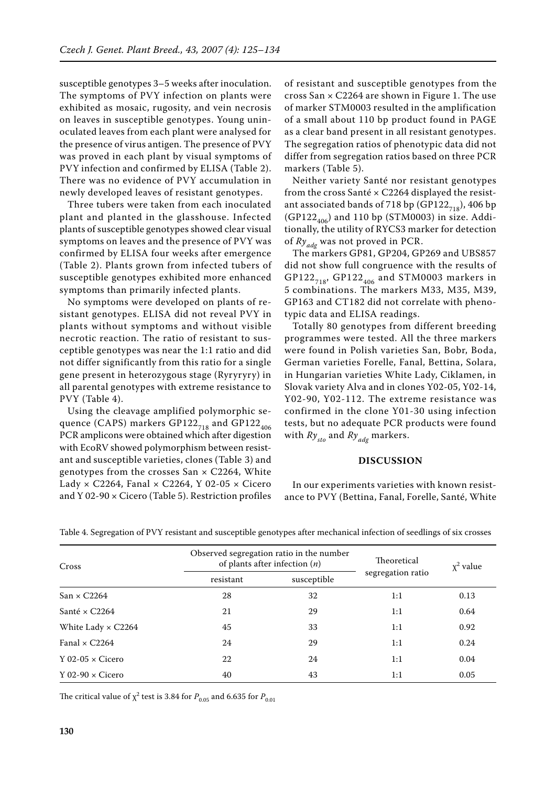susceptible genotypes 3–5 weeks after inoculation. The symptoms of PVY infection on plants were exhibited as mosaic, rugosity, and vein necrosis on leaves in susceptible genotypes. Young uninoculated leaves from each plant were analysed for the presence of virus antigen. The presence of PVY was proved in each plant by visual symptoms of PVY infection and confirmed by ELISA (Table 2). There was no evidence of PVY accumulation in newly developed leaves of resistant genotypes.

Three tubers were taken from each inoculated plant and planted in the glasshouse. Infected plants of susceptible genotypes showed clear visual symptoms on leaves and the presence of PVY was confirmed by ELISA four weeks after emergence (Table 2). Plants grown from infected tubers of susceptible genotypes exhibited more enhanced symptoms than primarily infected plants.

No symptoms were developed on plants of resistant genotypes. ELISA did not reveal PVY in plants without symptoms and without visible necrotic reaction. The ratio of resistant to susceptible genotypes was near the 1:1 ratio and did not differ significantly from this ratio for a single gene present in heterozygous stage (Ryryryry) in all parental genotypes with extreme resistance to PVY (Table 4).

Using the cleavage amplified polymorphic sequence (CAPS) markers  $GPI22_{718}$  and  $GPI22_{406}$ PCR amplicons were obtained which after digestion with EcoRV showed polymorphism between resistant and susceptible varieties, clones (Table 3) and genotypes from the crosses San  $\times$  C2264, White Lady  $\times$  C2264, Fanal  $\times$  C2264, Y 02-05  $\times$  Cicero and Y 02-90 × Cicero (Table 5). Restriction profiles of resistant and susceptible genotypes from the cross San × C2264 are shown in Figure 1. The use of marker STM0003 resulted in the amplification of a small about 110 bp product found in PAGE as a clear band present in all resistant genotypes. The segregation ratios of phenotypic data did not differ from segregation ratios based on three PCR markers (Table 5).

Neither variety Santé nor resistant genotypes from the cross Santé  $\times$  C2264 displayed the resistant associated bands of 718 bp (GP122 $_{718}$ ), 406 bp  $(GP122_{406})$  and 110 bp (STM0003) in size. Additionally, the utility of RYCS3 marker for detection of *Ryadg* was not proved in PCR.

The markers GP81, GP204, GP269 and UBS857 did not show full congruence with the results of  $GP122_{718}$ ,  $GP122_{406}$  and STM0003 markers in 5 combinations. The markers M33, M35, M39, GP163 and CT182 did not correlate with phenotypic data and ELISA readings.

Totally 80 genotypes from different breeding programmes were tested. All the three markers were found in Polish varieties San, Bobr, Boda, German varieties Forelle, Fanal, Bettina, Solara, in Hungarian varieties White Lady, Ciklamen, in Slovak variety Alva and in clones Y02-05, Y02-14, Y02-90, Y02-112. The extreme resistance was confirmed in the clone Y01-30 using infection tests, but no adequate PCR products were found with  $Ry_{sto}$  and  $Ry_{ads}$  markers.

#### **Discussion**

In our experiments varieties with known resistance to PVY (Bettina, Fanal, Forelle, Santé, White

| Cross                     | Observed segregation ratio in the number<br>of plants after infection $(n)$ |             | Theoretical       | $x^2$ value |
|---------------------------|-----------------------------------------------------------------------------|-------------|-------------------|-------------|
|                           | resistant                                                                   | susceptible | segregation ratio |             |
| $San \times C2264$        | 28                                                                          | 32          | 1:1               | 0.13        |
| Santé $\times$ C2264      | 21                                                                          | 29          | 1:1               | 0.64        |
| White Lady $\times$ C2264 | 45                                                                          | 33          | 1:1               | 0.92        |
| Fanal $\times$ C2264      | 24                                                                          | 29          | 1:1               | 0.24        |
| Y 02-05 $\times$ Cicero   | 22                                                                          | 24          | 1:1               | 0.04        |
| $Y$ 02-90 $\times$ Cicero | 40                                                                          | 43          | 1:1               | 0.05        |

Table 4. Segregation of PVY resistant and susceptible genotypes after mechanical infection of seedlings of six crosses

The critical value of  $\chi^2$  test is 3.84 for  $P_{0.05}$  and 6.635 for  $P_{0.01}$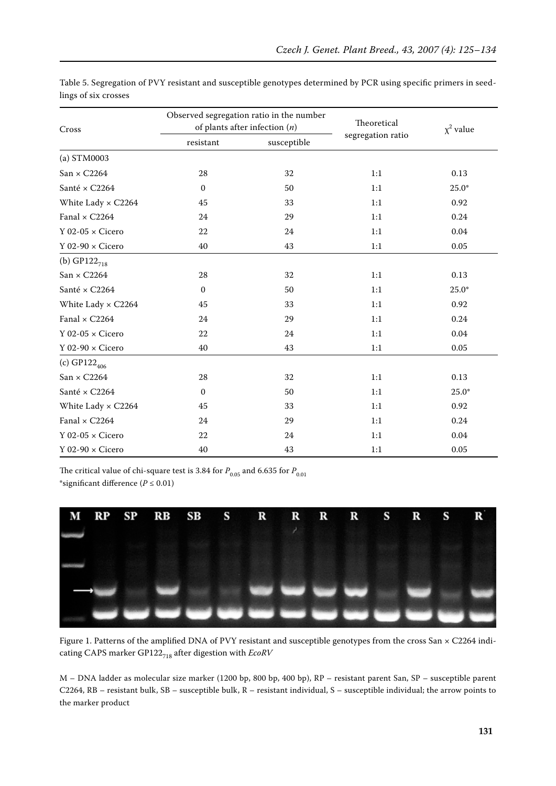| Cross                     | Observed segregation ratio in the number<br>of plants after infection $(n)$ |             | Theoretical       | $x^2$ value |
|---------------------------|-----------------------------------------------------------------------------|-------------|-------------------|-------------|
|                           | resistant                                                                   | susceptible | segregation ratio |             |
| (a) STM0003               |                                                                             |             |                   |             |
| $San \times C2264$        | 28                                                                          | 32          | 1:1               | 0.13        |
| Santé × C2264             | $\mathbf{0}$                                                                | 50          | 1:1               | $25.0*$     |
| White Lady $\times$ C2264 | 45                                                                          | 33          | 1:1               | 0.92        |
| Fanal $\times$ C2264      | 24                                                                          | 29          | 1:1               | 0.24        |
| Y 02-05 $\times$ Cicero   | 22                                                                          | 24          | 1:1               | 0.04        |
| Y 02-90 $\times$ Cicero   | $40\,$                                                                      | 43          | 1:1               | $0.05\,$    |
| (b) GP122 <sub>718</sub>  |                                                                             |             |                   |             |
| $San \times C2264$        | 28                                                                          | 32          | 1:1               | 0.13        |
| Santé × C2264             | $\Omega$                                                                    | 50          | 1:1               | $25.0*$     |
| White Lady $\times$ C2264 | 45                                                                          | 33          | 1:1               | 0.92        |
| Fanal $\times$ C2264      | 24                                                                          | 29          | 1:1               | 0.24        |
| $Y$ 02-05 $\times$ Cicero | 22                                                                          | 24          | 1:1               | 0.04        |
| Y 02-90 $\times$ Cicero   | $40\,$                                                                      | 43          | 1:1               | 0.05        |
| (c) $GP122_{406}$         |                                                                             |             |                   |             |
| $San \times C2264$        | 28                                                                          | 32          | 1:1               | 0.13        |
| Santé × C2264             | $\mathbf{0}$                                                                | 50          | 1:1               | $25.0*$     |
| White Lady $\times$ C2264 | 45                                                                          | 33          | 1:1               | 0.92        |
| Fanal $\times$ C2264      | 24                                                                          | 29          | 1:1               | 0.24        |
| Y 02-05 $\times$ Cicero   | 22                                                                          | 24          | 1:1               | 0.04        |
| Y 02-90 $\times$ Cicero   | $40\,$                                                                      | 43          | 1:1               | 0.05        |

Table 5. Segregation of PVY resistant and susceptible genotypes determined by PCR using specific primers in seedlings of six crosses

The critical value of chi-square test is 3.84 for  $P_{0.05}$  and 6.635 for  $P_{0.01}$ \*significant difference (*P* ≤ 0.01)



Figure 1. Patterns of the amplified DNA of PVY resistant and susceptible genotypes from the cross San × C2264 indicating CAPS marker GP122<sub>718</sub> after digestion with *EcoRV* 

M – DNA ladder as molecular size marker (1200 bp, 800 bp, 400 bp), RP – resistant parent San, SP – susceptible parent C2264, RB – resistant bulk, SB – susceptible bulk, R – resistant individual, S – susceptible individual; the arrow points to the marker product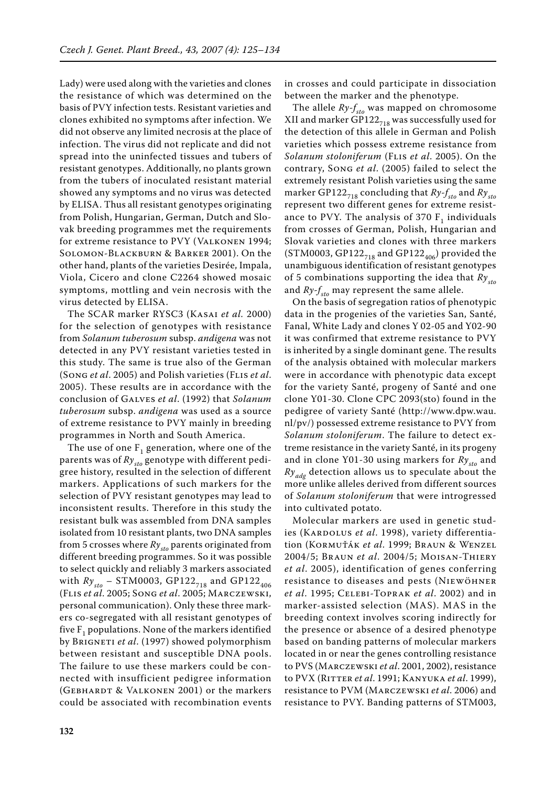Lady) were used along with the varieties and clones the resistance of which was determined on the basis of PVY infection tests. Resistant varieties and clones exhibited no symptoms after infection. We did not observe any limited necrosis at the place of infection. The virus did not replicate and did not spread into the uninfected tissues and tubers of resistant genotypes. Additionally, no plants grown from the tubers of inoculated resistant material showed any symptoms and no virus was detected by ELISA. Thus all resistant genotypes originating from Polish, Hungarian, German, Dutch and Slovak breeding programmes met the requirements for extreme resistance to PVY (Valkonen 1994; Solomon-Blackburn & Barker 2001). On the other hand, plants of the varieties Desirée, Impala, Viola, Cicero and clone C2264 showed mosaic symptoms, mottling and vein necrosis with the virus detected by ELISA.

The SCAR marker RYSC3 (Kasai *et al.* 2000) for the selection of genotypes with resistance from *Solanum tuberosum* subsp. *andigena* was not detected in any PVY resistant varieties tested in this study. The same is true also of the German (Song *et al*. 2005) and Polish varieties (Flis *et al*. 2005). These results are in accordance with the conclusion of Galves *et al*. (1992) that *Solanum tuberosum* subsp. *andigena* was used as a source of extreme resistance to PVY mainly in breeding programmes in North and South America.

The use of one  $F_1$  generation, where one of the parents was of  $Ry_{sto}$  genotype with different pedigree history, resulted in the selection of different markers. Applications of such markers for the selection of PVY resistant genotypes may lead to inconsistent results. Therefore in this study the resistant bulk was assembled from DNA samples isolated from 10 resistant plants, two DNA samples from 5 crosses where  $Ry_{\rm st0}$  parents originated from different breeding programmes. So it was possible to select quickly and reliably 3 markers associated with  $Ry_{sto}$  – STM0003, GP122<sub>718</sub> and GP122<sub>406</sub> (Flis *et al*. 2005; Song *et al*. 2005; Marczewski, personal communication). Only these three markers co-segregated with all resistant genotypes of five  $F_1$  populations. None of the markers identified by Brigneti *et al*. (1997) showed polymorphism between resistant and susceptible DNA pools. The failure to use these markers could be connected with insufficient pedigree information (GEBHARDT & VALKONEN 2001) or the markers could be associated with recombination events in crosses and could participate in dissociation between the marker and the phenotype.

The allele  $Ry-f_{sto}$  was mapped on chromosome XII and marker GP122 $_{718}$  was successfully used for the detection of this allele in German and Polish varieties which possess extreme resistance from *Solanum stoloniferum* (Flis *et al*. 2005). On the contrary, Song *et al*. (2005) failed to select the extremely resistant Polish varieties using the same marker GP122<sub>718</sub> concluding that  $Ry - f_{sto}$  and  $Ry_{sto}$ represent two different genes for extreme resistance to PVY. The analysis of 370  $F<sub>1</sub>$  individuals from crosses of German, Polish, Hungarian and Slovak varieties and clones with three markers (STM0003, GP122<sub>718</sub> and GP122<sub>406</sub>) provided the unambiguous identification of resistant genotypes of 5 combinations supporting the idea that  $Ry_{sto}$ and  $Ry-f_{\text{sto}}$  may represent the same allele.

On the basis of segregation ratios of phenotypic data in the progenies of the varieties San, Santé, Fanal, White Lady and clones Y 02-05 and Y02-90 it was confirmed that extreme resistance to PVY is inherited by a single dominant gene. The results of the analysis obtained with molecular markers were in accordance with phenotypic data except for the variety Santé, progeny of Santé and one clone Y01-30. Clone CPC 2093(sto) found in the pedigree of variety Santé (http://www.dpw.wau. nl/pv/) possessed extreme resistance to PVY from *Solanum stoloniferum*. The failure to detect extreme resistance in the variety Santé, in its progeny and in clone Y01-30 using markers for  $Ry_{sto}$  and *Ry<sub>adg</sub>* detection allows us to speculate about the more unlike alleles derived from different sources of *Solanum stoloniferum* that were introgressed into cultivated potato.

Molecular markers are used in genetic studies (KARDOLUS et al. 1998), variety differentiation (Kormuťák *et al*. 1999; Braun & Wenzel 2004/5; Braun *et al*. 2004/5; Moisan-Thiery *et al*. 2005), identification of genes conferring resistance to diseases and pests (Niewöhner *et al*. 1995; Celebi-Toprak *et al*. 2002) and in marker-assisted selection (MAS). MAS in the breeding context involves scoring indirectly for the presence or absence of a desired phenotype based on banding patterns of molecular markers located in or near the genes controlling resistance to PVS (Marczewski *et al*. 2001, 2002), resistance to PVX (Ritter *et al*. 1991; Kanyuka *et al*. 1999), resistance to PVM (Marczewski *et al*. 2006) and resistance to PVY. Banding patterns of STM003,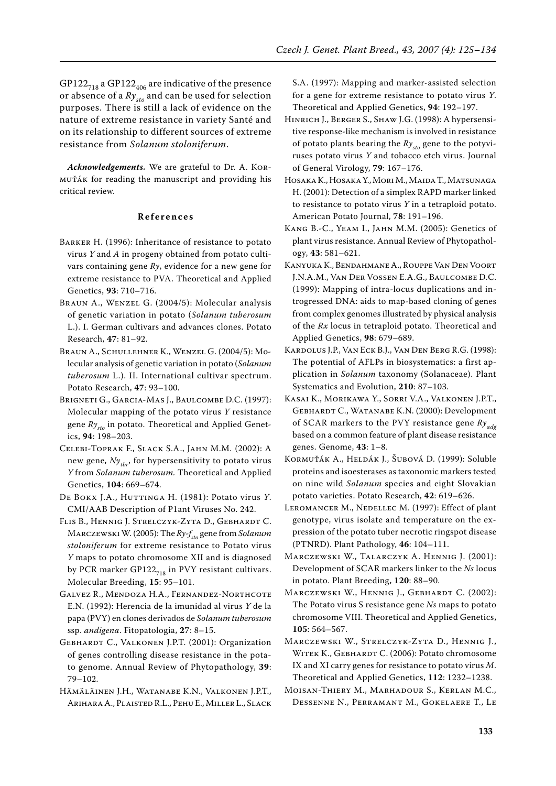GP122 $_{718}$  a GP122 $_{406}$  are indicative of the presence or absence of a  $Ry_{sto}$  and can be used for selection purposes. There is still a lack of evidence on the nature of extreme resistance in variety Santé and on its relationship to different sources of extreme resistance from *Solanum stoloniferum*.

*Acknowledgements.* We are grateful to Dr. A. Kormuťák for reading the manuscript and providing his critical review.

#### **R e f e r e n c e s**

- Barker H. (1996): Inheritance of resistance to potato virus *Y* and *A* in progeny obtained from potato cultivars containing gene *Ry*, evidence for a new gene for extreme resistance to PVA. Theoretical and Applied Genetics, **93**: 710–716.
- Braun A., Wenzel G. (2004/5): Molecular analysis of genetic variation in potato (*Solanum tuberosum* L.). I. German cultivars and advances clones. Potato Research, **47**: 81–92.
- Braun A., Schullehner K., Wenzel G. (2004/5): Molecular analysis of genetic variation in potato (*Solanum tuberosum* L.). II. International cultivar spectrum. Potato Research, **47**: 93–100.
- BRIGNETI G., GARCIA-MAS J., BAULCOMBE D.C. (1997): Molecular mapping of the potato virus *Y* resistance gene  $Ry_{sto}$  in potato. Theoretical and Applied Genetics, **94**: 198–203.
- Celebi-Toprak F., Slack S.A., Jahn M.M. (2002): A new gene,  $Ny_{thr}$ , for hypersensitivity to potato virus *Y* from *Solanum tuberosum.* Theoretical and Applied Genetics, **104**: 669–674.
- De Bokx J.A., Huttinga H. (1981): Potato virus *Y*. CMI/AAB Description of P1ant Viruses No. 242.
- Flis B., Hennig J. Strelczyk-Zyta D., Gebhardt C. MARCZEWSKI W. (2005): The *Ry-f<sub>sto</sub>* gene from *Solanum stoloniferum* for extreme resistance to Potato virus *Y* maps to potato chromosome XII and is diagnosed by PCR marker GP122 $_{718}$  in PVY resistant cultivars. Molecular Breeding, **15**: 95–101.
- Galvez R., Mendoza H.A., Fernandez-Northcote E.N. (1992): Herencia de la imunidad al virus *Y* de la papa (PVY) en clones derivados de *Solanum tuberosum* ssp. *andigena*. Fitopatologia, **27**: 8–15.
- GEBHARDT C., VALKONEN J.P.T. (2001): Organization of genes controlling disease resistance in the potato genome. Annual Review of Phytopathology, **39**: 79–102.
- Hämäläinen J.H., Watanabe K.N., Valkonen J.P.T., Arihara A., Plaisted R.L., Pehu E., Miller L., Slack

S.A. (1997): Mapping and marker-assisted selection for a gene for extreme resistance to potato virus *Y*. Theoretical and Applied Genetics, **94**: 192–197.

- Hinrich J., Berger S., Shaw J.G. (1998): A hypersensitive response-like mechanism is involved in resistance of potato plants bearing the  $Ry_{sto}$  gene to the potyviruses potato virus *Y* and tobacco etch virus. Journal of General Virology, **79**: 167–176.
- Hosaka K., Hosaka Y., Mori M., Maida T., Matsunaga H. (2001): Detection of a simplex RAPD marker linked to resistance to potato virus *Y* in a tetraploid potato. American Potato Journal, **78**: 191–196.
- Kang B.-C., Yeam I., Jahn M.M. (2005): Genetics of plant virus resistance. Annual Review of Phytopathology, **43**: 581–621.
- Kanyuka K., Bendahmane A., Rouppe Van Den Voort J.N.A.M., Van Der Vossen E.A.G., Baulcombe D.C. (1999): Mapping of intra-locus duplications and introgressed DNA: aids to map-based cloning of genes from complex genomes illustrated by physical analysis of the *Rx* locus in tetraploid potato. Theoretical and Applied Genetics, **98**: 679–689.
- Kardolus J.P., Van Eck B.J., Van Den Berg R.G. (1998): The potential of AFLPs in biosystematics: a first application in *Solanum* taxonomy (Solanaceae). Plant Systematics and Evolution, **210**: 87–103.
- Kasai K., Morikawa Y., Sorri V.A., Valkonen J.P.T., GEBHARDT C., WATANABE K.N. (2000): Development of SCAR markers to the PVY resistance gene *Ryadg* based on a common feature of plant disease resistance genes. Genome, **43**: 1–8.
- Kormuťák A., Heldák J., Šubová D. (1999): Soluble proteins and isoesterases as taxonomic markers tested on nine wild *Solanum* species and eight Slovakian potato varieties. Potato Research, **42**: 619–626.
- LEROMANCER M., NEDELLEC M. (1997): Effect of plant genotype, virus isolate and temperature on the expression of the potato tuber necrotic ringspot disease (PTNRD). Plant Pathology, **46**: 104–111.
- Marczewski W., Talarczyk A. Hennig J. (2001): Development of SCAR markers linker to the *Ns* locus in potato. Plant Breeding, **120**: 88–90.
- MARCZEWSKI W., HENNIG J., GEBHARDT C. (2002): The Potato virus S resistance gene *Ns* maps to potato chromosome VIII. Theoretical and Applied Genetics, **105**: 564–567.
- Marczewski W., Strelczyk-Zyta D., Hennig J., WITEK K., GEBHARDT C. (2006): Potato chromosome IX and XI carry genes for resistance to potato virus *M*. Theoretical and Applied Genetics, **112**: 1232–1238.
- Moisan-Thiery M., Marhadour S., Kerlan M.C., Dessenne N., Perramant M., Gokelaere T., Le